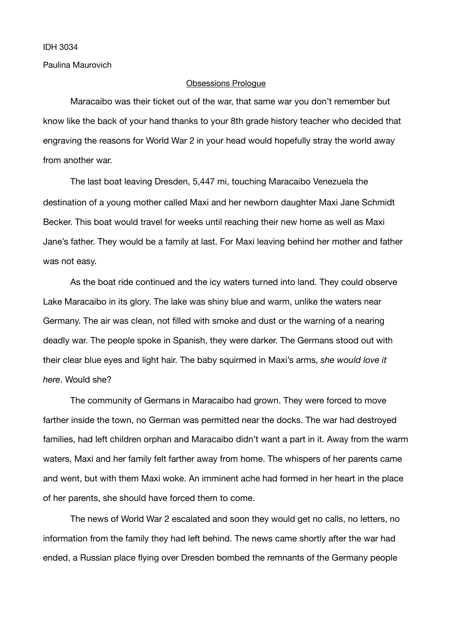IDH 3034

Paulina Maurovich

## Obsessions Prologue

Maracaibo was their ticket out of the war, that same war you don't remember but know like the back of your hand thanks to your 8th grade history teacher who decided that engraving the reasons for World War 2 in your head would hopefully stray the world away from another war.

The last boat leaving Dresden, 5,447 mi, touching Maracaibo Venezuela the destination of a young mother called Maxi and her newborn daughter Maxi Jane Schmidt Becker. This boat would travel for weeks until reaching their new home as well as Maxi Jane's father. They would be a family at last. For Maxi leaving behind her mother and father was not easy.

As the boat ride continued and the icy waters turned into land. They could observe Lake Maracaibo in its glory. The lake was shiny blue and warm, unlike the waters near Germany. The air was clean, not filled with smoke and dust or the warning of a nearing deadly war. The people spoke in Spanish, they were darker. The Germans stood out with their clear blue eyes and light hair. The baby squirmed in Maxi's arms, *she would love it here*. Would she?

The community of Germans in Maracaibo had grown. They were forced to move farther inside the town, no German was permitted near the docks. The war had destroyed families, had left children orphan and Maracaibo didn't want a part in it. Away from the warm waters, Maxi and her family felt farther away from home. The whispers of her parents came and went, but with them Maxi woke. An imminent ache had formed in her heart in the place of her parents, she should have forced them to come.

The news of World War 2 escalated and soon they would get no calls, no letters, no information from the family they had left behind. The news came shortly after the war had ended, a Russian place flying over Dresden bombed the remnants of the Germany people